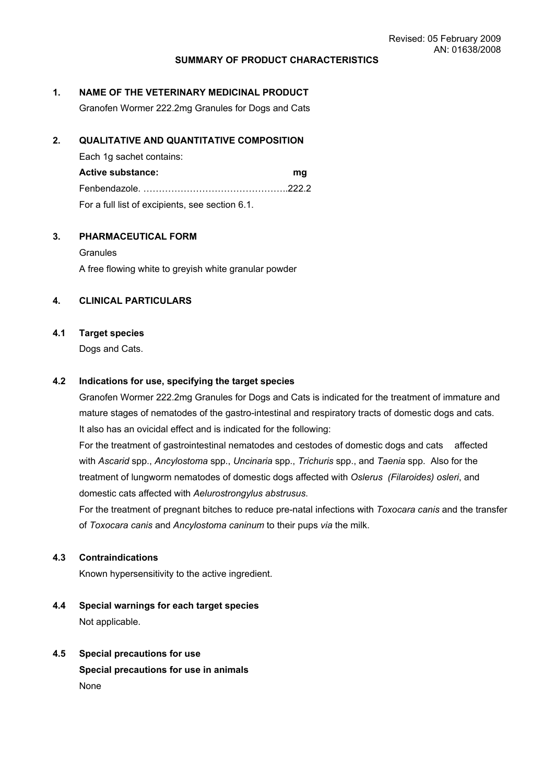#### **SUMMARY OF PRODUCT CHARACTERISTICS**

#### **1. NAME OF THE VETERINARY MEDICINAL PRODUCT**

Granofen Wormer 222.2mg Granules for Dogs and Cats

#### **2. QUALITATIVE AND QUANTITATIVE COMPOSITION**

Each 1g sachet contains:

**Active substance: mg** Fenbendazole. ………………………………………..222.2 For a full list of excipients, see section 6.1.

### **3. PHARMACEUTICAL FORM**

**Granules** A free flowing white to greyish white granular powder

#### **4. CLINICAL PARTICULARS**

#### **4.1 Target species**

Dogs and Cats.

#### **4.2 Indications for use, specifying the target species**

Granofen Wormer 222.2mg Granules for Dogs and Cats is indicated for the treatment of immature and mature stages of nematodes of the gastro-intestinal and respiratory tracts of domestic dogs and cats. It also has an ovicidal effect and is indicated for the following:

For the treatment of gastrointestinal nematodes and cestodes of domestic dogs and cats affected with *Ascarid* spp., *Ancylostoma* spp., *Uncinaria* spp., *Trichuris* spp., and *Taenia* spp. Also for the treatment of lungworm nematodes of domestic dogs affected with *Oslerus (Filaroides) osleri*, and domestic cats affected with *Aelurostrongylus abstrusus*.

For the treatment of pregnant bitches to reduce pre-natal infections with *Toxocara canis* and the transfer of *Toxocara canis* and *Ancylostoma caninum* to their pups *via* the milk.

### **4.3 Contraindications**

Known hypersensitivity to the active ingredient.

- **4.4 Special warnings for each target species** Not applicable.
- **4.5 Special precautions for use Special precautions for use in animals** None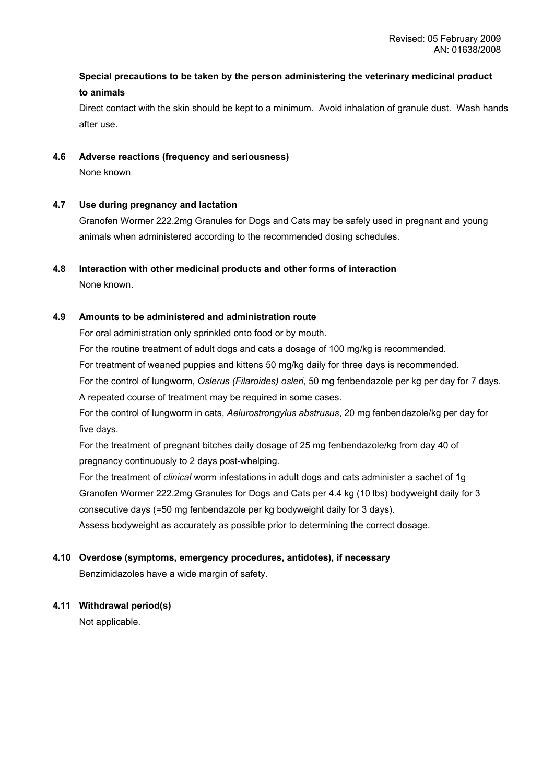# **Special precautions to be taken by the person administering the veterinary medicinal product to animals**

Direct contact with the skin should be kept to a minimum. Avoid inhalation of granule dust. Wash hands after use.

# **4.6 Adverse reactions (frequency and seriousness)**

None known

# **4.7 Use during pregnancy and lactation**

Granofen Wormer 222.2mg Granules for Dogs and Cats may be safely used in pregnant and young animals when administered according to the recommended dosing schedules.

# **4.8 Interaction with other medicinal products and other forms of interaction**

None known.

# **4.9 Amounts to be administered and administration route**

For oral administration only sprinkled onto food or by mouth.

For the routine treatment of adult dogs and cats a dosage of 100 mg/kg is recommended.

For treatment of weaned puppies and kittens 50 mg/kg daily for three days is recommended.

For the control of lungworm, *Oslerus (Filaroides) osleri*, 50 mg fenbendazole per kg per day for 7 days. A repeated course of treatment may be required in some cases.

For the control of lungworm in cats, *Aelurostrongylus abstrusus*, 20 mg fenbendazole/kg per day for five days.

For the treatment of pregnant bitches daily dosage of 25 mg fenbendazole/kg from day 40 of pregnancy continuously to 2 days post-whelping.

For the treatment of *clinical* worm infestations in adult dogs and cats administer a sachet of 1g Granofen Wormer 222.2mg Granules for Dogs and Cats per 4.4 kg (10 lbs) bodyweight daily for 3 consecutive days (=50 mg fenbendazole per kg bodyweight daily for 3 days).

Assess bodyweight as accurately as possible prior to determining the correct dosage.

#### **4.10 Overdose (symptoms, emergency procedures, antidotes), if necessary**

Benzimidazoles have a wide margin of safety.

#### **4.11 Withdrawal period(s)**

Not applicable.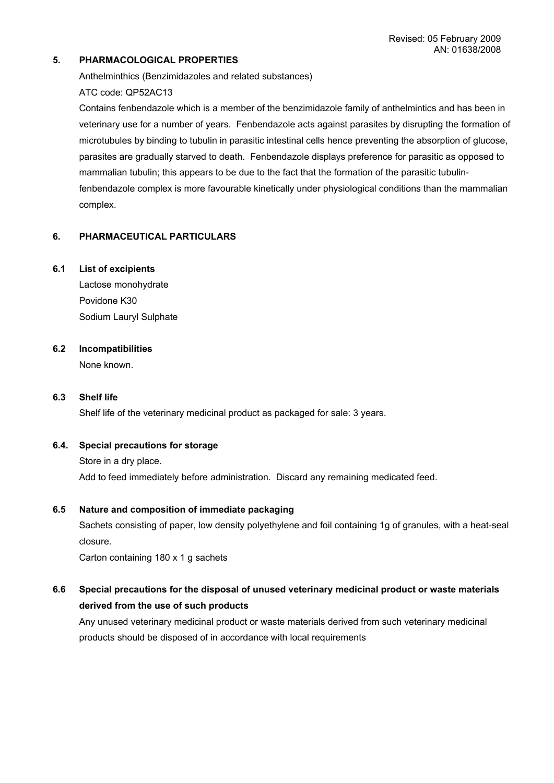# **5. PHARMACOLOGICAL PROPERTIES**

Anthelminthics (Benzimidazoles and related substances)

ATC code: QP52AC13

Contains fenbendazole which is a member of the benzimidazole family of anthelmintics and has been in veterinary use for a number of years. Fenbendazole acts against parasites by disrupting the formation of microtubules by binding to tubulin in parasitic intestinal cells hence preventing the absorption of glucose, parasites are gradually starved to death. Fenbendazole displays preference for parasitic as opposed to mammalian tubulin; this appears to be due to the fact that the formation of the parasitic tubulinfenbendazole complex is more favourable kinetically under physiological conditions than the mammalian complex.

# **6. PHARMACEUTICAL PARTICULARS**

#### **6.1 List of excipients**

Lactose monohydrate Povidone K30 Sodium Lauryl Sulphate

# **6.2 Incompatibilities**

None known.

### **6.3 Shelf life**

Shelf life of the veterinary medicinal product as packaged for sale: 3 years.

#### **6.4. Special precautions for storage**

Store in a dry place.

Add to feed immediately before administration. Discard any remaining medicated feed.

#### **6.5 Nature and composition of immediate packaging**

Sachets consisting of paper, low density polyethylene and foil containing 1g of granules, with a heat-seal closure.

Carton containing 180 x 1 g sachets

# **6.6 Special precautions for the disposal of unused veterinary medicinal product or waste materials derived from the use of such products**

Any unused veterinary medicinal product or waste materials derived from such veterinary medicinal products should be disposed of in accordance with local requirements